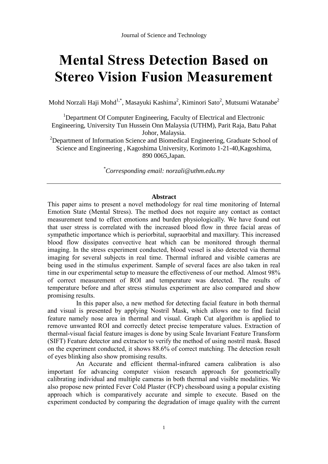# **Mental Stress Detection Based on Stereo Vision Fusion Measurement**

Mohd Norzali Haji Mohd $^{1,*}$ , Masayuki Kashima $^2$ , Kiminori Sato $^2$ , Mutsumi Watanabe $^2$ 

<sup>1</sup>Department Of Computer Engineering, Faculty of Electrical and Electronic Engineering, University Tun Hussein Onn Malaysia (UTHM), Parit Raja, Batu Pahat Johor, Malaysia.

<sup>2</sup>Department of Information Science and Biomedical Engineering, Graduate School of Science and Engineering , Kagoshima University, Korimoto 1-21-40,Kagoshima, 890 0065,Japan.

*\*Corresponding email: norzali@uthm.edu.my*

## **Abstract**

This paper aims to present a novel methodology for real time monitoring of Internal Emotion State (Mental Stress). The method does not require any contact as contact measurement tend to effect emotions and burden physiologically. We have found out that user stress is correlated with the increased blood flow in three facial areas of sympathetic importance which is periorbital, supraorbital and maxillary. This increased blood flow dissipates convective heat which can be monitored through thermal imaging. In the stress experiment conducted, blood vessel is also detected via thermal imaging for several subjects in real time. Thermal infrared and visible cameras are being used in the stimulus experiment. Sample of several faces are also taken in real time in our experimental setup to measure the effectiveness of our method. Almost 98% of correct measurement of ROI and temperature was detected. The results of temperature before and after stress stimulus experiment are also compared and show promising results.

In this paper also, a new method for detecting facial feature in both thermal and visual is presented by applying Nostril Mask, which allows one to find facial feature namely nose area in thermal and visual. Graph Cut algorithm is applied to remove unwanted ROI and correctly detect precise temperature values. Extraction of thermal-visual facial feature images is done by using Scale Invariant Feature Transform (SIFT) Feature detector and extractor to verify the method of using nostril mask. Based on the experiment conducted, it shows 88.6% of correct matching. The detection result of eyes blinking also show promising results.

An Accurate and efficient thermal-infrared camera calibration is also important for advancing computer vision research approach for geometrically calibrating individual and multiple cameras in both thermal and visible modalities. We also propose new printed Fever Cold Plaster (FCP) chessboard using a popular existing approach which is comparatively accurate and simple to execute. Based on the experiment conducted by comparing the degradation of image quality with the current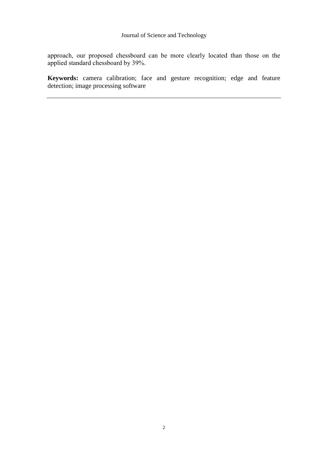approach, our proposed chessboard can be more clearly located than those on the applied standard chessboard by 39%.

**Keywords:** camera calibration; face and gesture recognition; edge and feature detection; image processing software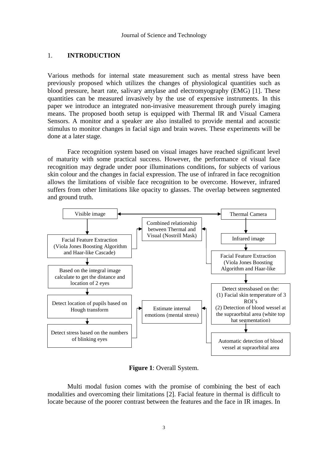# 1. **INTRODUCTION**

Various methods for internal state measurement such as mental stress have been previously proposed which utilizes the changes of physiological quantities such as blood pressure, heart rate, salivary amylase and electromyography (EMG) [1]. These quantities can be measured invasively by the use of expensive instruments. In this paper we introduce an integrated non-invasive measurement through purely imaging means. The proposed booth setup is equipped with Thermal IR and Visual Camera Sensors. A monitor and a speaker are also installed to provide mental and acoustic stimulus to monitor changes in facial sign and brain waves. These experiments will be done at a later stage.

Face recognition system based on visual images have reached significant level of maturity with some practical success. However, the performance of visual face recognition may degrade under poor illuminations conditions, for subjects of various skin colour and the changes in facial expression. The use of infrared in face recognition allows the limitations of visible face recognition to be overcome. However, infrared suffers from other limitations like opacity to glasses. The overlap between segmented and ground truth.



**Figure 1**: Overall System.

Multi modal fusion comes with the promise of combining the best of each modalities and overcoming their limitations [2]. Facial feature in thermal is difficult to locate because of the poorer contrast between the features and the face in IR images. In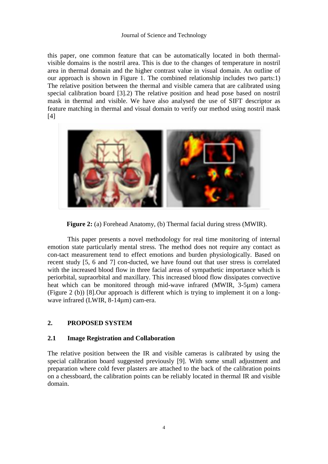this paper, one common feature that can be automatically located in both thermalvisible domains is the nostril area. This is due to the changes of temperature in nostril area in thermal domain and the higher contrast value in visual domain. An outline of our approach is shown in Figure 1. The combined relationship includes two parts:1) The relative position between the thermal and visible camera that are calibrated using special calibration board [3].2) The relative position and head pose based on nostril mask in thermal and visible. We have also analysed the use of SIFT descriptor as feature matching in thermal and visual domain to verify our method using nostril mask [4]



**Figure 2:** (a) Forehead Anatomy, (b) Thermal facial during stress (MWIR).

This paper presents a novel methodology for real time monitoring of internal emotion state particularly mental stress. The method does not require any contact as con-tact measurement tend to effect emotions and burden physiologically. Based on recent study [5, 6 and 7] con-ducted, we have found out that user stress is correlated with the increased blood flow in three facial areas of sympathetic importance which is periorbital, supraorbital and maxillary. This increased blood flow dissipates convective heat which can be monitored through mid-wave infrared (MWIR, 3-5µm) camera (Figure 2 (b)) [8].Our approach is different which is trying to implement it on a longwave infrared (LWIR, 8-14µm) cam-era.

# **2. PROPOSED SYSTEM**

# **2.1 Image Registration and Collaboration**

The relative position between the IR and visible cameras is calibrated by using the special calibration board suggested previously [9]. With some small adjustment and preparation where cold fever plasters are attached to the back of the calibration points on a chessboard, the calibration points can be reliably located in thermal IR and visible domain.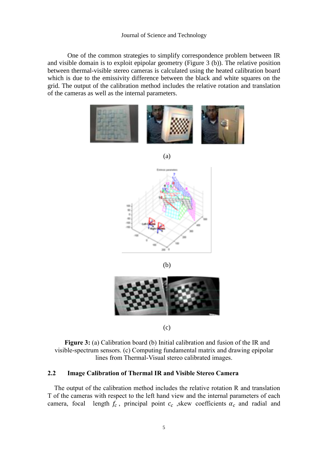One of the common strategies to simplify correspondence problem between IR and visible domain is to exploit epipolar geometry (Figure 3 (b)). The relative position between thermal-visible stereo cameras is calculated using the heated calibration board which is due to the emissivity difference between the black and white squares on the grid. The output of the calibration method includes the relative rotation and translation of the cameras as well as the internal parameters.





(b)



(c)

**Figure 3:** (a) Calibration board (b) Initial calibration and fusion of the IR and visible-spectrum sensors. (c) Computing fundamental matrix and drawing epipolar lines from Thermal-Visual stereo calibrated images.

# **2.2 Image Calibration of Thermal IR and Visible Stereo Camera**

The output of the calibration method includes the relative rotation R and translation T of the cameras with respect to the left hand view and the internal parameters of each camera, focal length  $f_c$ , principal point  $c_c$ , skew coefficients  $\alpha_c$  and radial and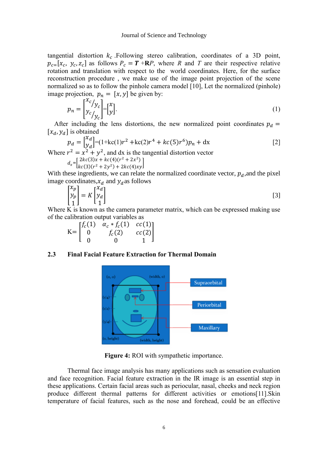tangential distortion  $k_c$ . Following stereo calibration, coordinates of a 3D point,  $p_{c}$  [ $x_c$ ,  $y_c$ ,  $z_c$ ] as follows  $P_c = T + RP$ , where *R* and *T* are their respective relative rotation and translation with respect to the world coordinates. Here, for the surface reconstruction procedure , we make use of the image point projection of the scene normalized so as to follow the pinhole camera model [10], Let the normalized (pinhole) image projection,  $p_n = [x, y]$  be given by:

$$
p_n = \begin{bmatrix} x_c/y_c \\ y_c/y_c \end{bmatrix} = \begin{bmatrix} x \\ y \end{bmatrix}.
$$
 (1)

After including the lens distortions, the new normalized point coordinates  $p_d =$  $[x_d, y_d]$  is obtained

$$
p_d = \begin{bmatrix} x_d \\ y_d \end{bmatrix} = (1 + kc(1)r^2 + kc(2)r^4 + kc(5)r^6)p_n + dx
$$
 [2]

Where  $r^2 = x^2 + y^2$ , and dx is the tangential distortion vector

$$
d_x = \begin{bmatrix} 2kc(3)x + kc(4)(r^2 + 2x^2) \\ kc(3)(r^2 + 2y^2) + 2kc(4)xy \end{bmatrix}
$$

With these ingredients, we can relate the normalized coordinate vector,  $p_d$ , and the pixel image coordinates,  $x_d$  and  $y_d$  as follows

$$
\begin{bmatrix} x_p \\ y_p \\ 1 \end{bmatrix} = K \begin{bmatrix} x_d \\ y_d \\ 1 \end{bmatrix}
$$
 [3]

Where K is known as the camera parameter matrix, which can be expressed making use of the calibration output variables as

|                         | $K = \begin{bmatrix} f_c(1) & \alpha_c * f_c(1) & cc(1) \\ 0 & f_c(2) & cc(2) \end{bmatrix}$ |  |
|-------------------------|----------------------------------------------------------------------------------------------|--|
| $\mathsf{I} \mathsf{O}$ | $\sqrt{ }$                                                                                   |  |

## **2.3 Final Facial Feature Extraction for Thermal Domain**



**Figure 4:** ROI with sympathetic importance.

Thermal face image analysis has many applications such as sensation evaluation and face recognition. Facial feature extraction in the IR image is an essential step in these applications. Certain facial areas such as periocular, nasal, cheeks and neck region produce different thermal patterns for different activities or emotions[11].Skin temperature of facial features, such as the nose and forehead, could be an effective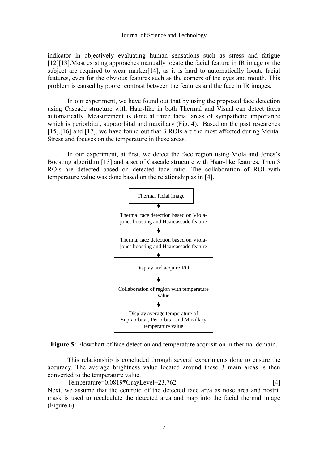indicator in objectively evaluating human sensations such as stress and fatigue [12][13].Most existing approaches manually locate the facial feature in IR image or the subject are required to wear marker[14], as it is hard to automatically locate facial features, even for the obvious features such as the corners of the eyes and mouth. This problem is caused by poorer contrast between the features and the face in IR images.

In our experiment, we have found out that by using the proposed face detection using Cascade structure with Haar-like in both Thermal and Visual can detect faces automatically. Measurement is done at three facial areas of sympathetic importance which is periorbital, supraorbital and maxillary (Fig. 4). Based on the past researches [15],[16] and [17], we have found out that 3 ROIs are the most affected during Mental Stress and focuses on the temperature in these areas.

In our experiment, at first, we detect the face region using Viola and Jones`s Boosting algorithm [13] and a set of Cascade structure with Haar-like features. Then 3 ROIs are detected based on detected face ratio. The collaboration of ROI with temperature value was done based on the relationship as in [4].





This relationship is concluded through several experiments done to ensure the accuracy. The average brightness value located around these 3 main areas is then converted to the temperature value.

Temperature=0.0819\*GrayLevel+23.762 [4] Next, we assume that the centroid of the detected face area as nose area and nostril mask is used to recalculate the detected area and map into the facial thermal image (Figure 6).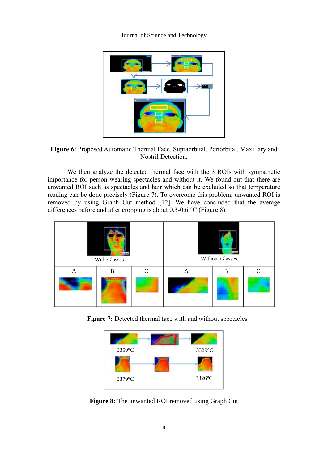



We then analyze the detected thermal face with the 3 ROIs with sympathetic importance for person wearing spectacles and without it. We found out that there are unwanted ROI such as spectacles and hair which can be excluded so that temperature reading can be done precisely (Figure 7). To overcome this problem, unwanted ROI is removed by using Graph Cut method [12]. We have concluded that the average differences before and after cropping is about 0.3-0.6 °C (Figure 8).



**Figure 7:** Detected thermal face with and without spectacles



**Figure 8:** The unwanted ROI removed using Graph Cut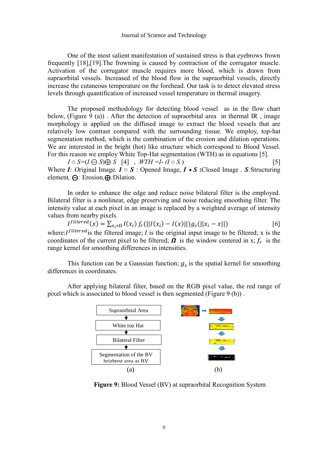One of the most salient manifestation of sustained stress is that eyebrows frown frequently [18],[19].The frowning is caused by contraction of the corrugator muscle. Activation of the corrugator muscle requires more blood, which is drawn from supraorbital vessels. Increased of the blood flow in the supraorbital vessels, directly increase the cutaneous temperature on the forehead. Our task is to detect elevated stress levels through quantification of increased vessel temperature in thermal imagery.

The proposed methodology for detecting blood vessel as in the flow chart below, (Figure 9 (a)). After the detection of supraorbital area in thermal IR, image morphology is applied on the diffused image to extract the blood vessels that are relatively low contrast compared with the surrounding tissue. We employ, top-hat segmentation method, which is the combination of the erosion and dilation operations. We are interested in the bright (hot) like structure which correspond to Blood Vessel. For this reason we employ White Top-Hat segmentation (WTH) as in equations [5].

 $I \circ S = (I \ominus S) \oplus S$  [4],  $WTH = I - (I \circ S)$  [5] Where *I: O*riginal Image*, I ○ S* : Opened Image, *I* <sup>⦁</sup> *S* **:**Closed Image *, S:*Structuring element*,* ⊝*:* Erosion*,*⊕*:*Dilation.

In order to enhance the edge and reduce noise bilateral filter is the employed. Bilateral filter is a nonlinear, edge preserving and noise reducing smoothing filter. The intensity value at each pixel in an image is replaced by a weighted average of intensity values from nearby pixels.

 $I^{filtered}(x) = \sum_{x_i \in \Omega} I(x_i) f_r(||I(x_i) - I(x)||) g_s(||x_i - x||)$  [6] where:  $I^{filtered}$  is the filtered image; I is the original input image to be filtered; x is the coordinates of the current pixel to be filtered;  $\boldsymbol{\Omega}$  is the window centered in x;  $f_r$  is the range kernel for smoothing differences in intensities.

This function can be a Gaussian function;  $g_s$  is the spatial kernel for smoothing differences in coordinates.

After applying bilateral filter, based on the RGB pixel value, the red range of pixel which is associated to blood vessel is then segmented (Figure 9 (b)) .



**Figure 9:** Blood Vessel (BV) at supraorbital Recognition System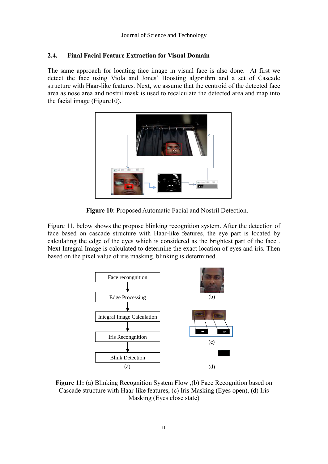# **2.4. Final Facial Feature Extraction for Visual Domain**

The same approach for locating face image in visual face is also done. At first we detect the face using Viola and Jones` Boosting algorithm and a set of Cascade structure with Haar-like features. Next, we assume that the centroid of the detected face area as nose area and nostril mask is used to recalculate the detected area and map into the facial image (Figure10).



**Figure 10**: Proposed Automatic Facial and Nostril Detection.

Figure 11, below shows the propose blinking recognition system. After the detection of face based on cascade structure with Haar-like features, the eye part is located by calculating the edge of the eyes which is considered as the brightest part of the face . Next Integral Image is calculated to determine the exact location of eyes and iris. Then based on the pixel value of iris masking, blinking is determined.



**Figure 11:** (a) Blinking Recognition System Flow ,(b) Face Recognition based on Cascade structure with Haar-like features, (c) Iris Masking (Eyes open), (d) Iris Masking (Eyes close state)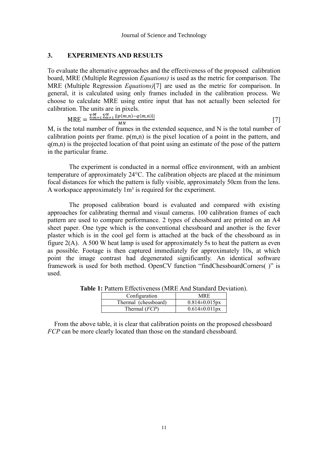# **3. EXPERIMENTS AND RESULTS**

To evaluate the alternative approaches and the effectiveness of the proposed calibration board, MRE (Multiple Regression *Equations)* is used as the metric for comparison*.* The MRE (Multiple Regression *Equations)*[7] are used as the metric for comparison. In general, it is calculated using only frames included in the calibration process. We choose to calculate MRE using entire input that has not actually been selected for calibration. The units are in pixels.

$$
MRE = \frac{\sum_{m=1}^{M} \sum_{n=1}^{N} ||p(m,n) - q(m,n)||}{MN}
$$
 [7]

M, is the total number of frames in the extended sequence, and N is the total number of calibration points per frame.  $p(m,n)$  is the pixel location of a point in the pattern, and  $q(m,n)$  is the projected location of that point using an estimate of the pose of the pattern in the particular frame.

The experiment is conducted in a normal office environment, with an ambient temperature of approximately 24°C. The calibration objects are placed at the minimum focal distances for which the pattern is fully visible, approximately 50cm from the lens. A workspace approximately  $1m<sup>3</sup>$  is required for the experiment.

The proposed calibration board is evaluated and compared with existing approaches for calibrating thermal and visual cameras. 100 calibration frames of each pattern are used to compare performance. 2 types of chessboard are printed on an A4 sheet paper. One type which is the conventional chessboard and another is the fever plaster which is in the cool gel form is attached at the back of the chessboard as in figure 2(A). A 500 W heat lamp is used for approximately 5s to heat the pattern as even as possible. Footage is then captured immediately for approximately 10s, at which point the image contrast had degenerated significantly. An identical software framework is used for both method. OpenCV function "findChessboardCorners( )" is used.

| Configuration        | MRE                  |
|----------------------|----------------------|
| Thermal (chessboard) | $0.814 \pm 0.015$ px |
| Thermal $(FCP)$      | $0.614 \pm 0.011$ px |

**Table 1:** Pattern Effectiveness (MRE And Standard Deviation).

From the above table, it is clear that calibration points on the proposed chessboard *FCP* can be more clearly located than those on the standard chessboard.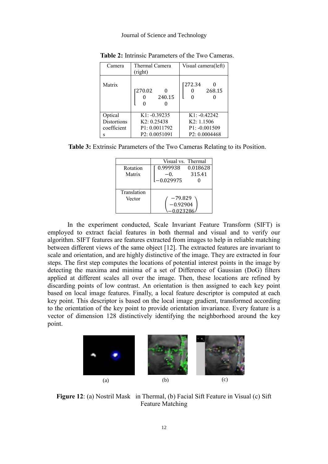| Camera                                            | Thermal Camera<br>(right)                                                    | Visual camera(left)                                              |
|---------------------------------------------------|------------------------------------------------------------------------------|------------------------------------------------------------------|
| Matrix                                            | 1270.02<br>240.15                                                            | Г272.34<br>268.15                                                |
| Optical<br><b>Distortions</b><br>coefficient<br>S | $K1: -0.39235$<br>K2: 0.25438<br>P1: 0.0011792<br>P <sub>2</sub> : 0.0051091 | $K1: -0.42242$<br>K2: 1.1506<br>$P1: -0.001509$<br>P2: 0.0004468 |

**Table 2:** Intrinsic Parameters of the Two Cameras.

**Table 3:** Extrinsic Parameters of the Two Cameras Relating to its Position.

|             | Visual vs. Thermal |  |
|-------------|--------------------|--|
| Rotation    | 0.999938  0.018628 |  |
| Matrix      | 315.41<br>$-0$ .   |  |
|             | $1 - 0.029975$     |  |
|             |                    |  |
| Translation |                    |  |
| Vector      | -79.829            |  |
|             | $-0.92904$         |  |
|             |                    |  |

In the experiment conducted, Scale Invariant Feature Transform (SIFT) is employed to extract facial features in both thermal and visual and to verify our algorithm. SIFT features are features extracted from images to help in reliable matching between different views of the same object [12]. The extracted features are invariant to scale and orientation, and are highly distinctive of the image. They are extracted in four steps. The first step computes the locations of potential interest points in the image by detecting the maxima and minima of a set of Difference of Gaussian (DoG) filters applied at different scales all over the image. Then, these locations are refined by discarding points of low contrast. An orientation is then assigned to each key point based on local image features. Finally, a local feature descriptor is computed at each key point. This descriptor is based on the local image gradient, transformed according to the orientation of the key point to provide orientation invariance. Every feature is a vector of dimension 128 distinctively identifying the neighborhood around the key point.



**Figure 12**: (a) Nostril Mask in Thermal, (b) Facial Sift Feature in Visual (c) Sift Feature Matching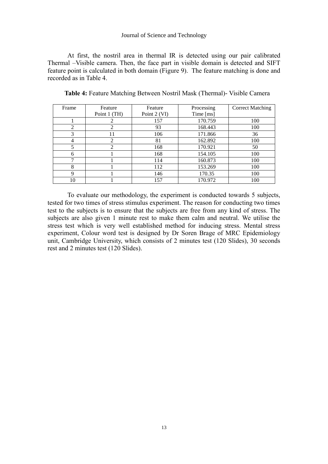At first, the nostril area in thermal IR is detected using our pair calibrated Thermal –Visible camera. Then, the face part in visible domain is detected and SIFT feature point is calculated in both domain (Figure 9). The feature matching is done and recorded as in Table 4.

| Frame          | Feature        | Feature      | Processing  | <b>Correct Matching</b> |
|----------------|----------------|--------------|-------------|-------------------------|
|                | Point 1 (TH)   | Point 2 (VI) | Time $[ms]$ |                         |
|                |                | 157          | 170.759     | 100                     |
| $\mathfrak{D}$ | $\overline{2}$ | 93           | 168.443     | 100                     |
| 3              | 11             | 106          | 171.866     | 36                      |
| 4              | 2              | 81           | 162.892     | 100                     |
| 5              | 2              | 168          | 170.921     | 50                      |
| 6              |                | 168          | 154.105     | 100                     |
| ⇁              |                | 114          | 160.873     | 100                     |
| 8              |                | 112          | 153.269     | 100                     |
| $\mathbf Q$    |                | 146          | 170.35      | 100                     |
| 10             |                | 157          | 170.972     | 100                     |

**Table 4:** Feature Matching Between Nostril Mask (Thermal)- Visible Camera

To evaluate our methodology, the experiment is conducted towards 5 subjects, tested for two times of stress stimulus experiment. The reason for conducting two times test to the subjects is to ensure that the subjects are free from any kind of stress. The subjects are also given 1 minute rest to make them calm and neutral. We utilise the stress test which is very well established method for inducing stress. Mental stress experiment, Colour word test is designed by Dr Soren Brage of MRC Epidemiology unit, Cambridge University, which consists of 2 minutes test (120 Slides), 30 seconds rest and 2 minutes test (120 Slides).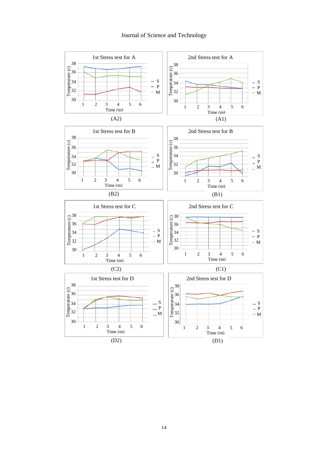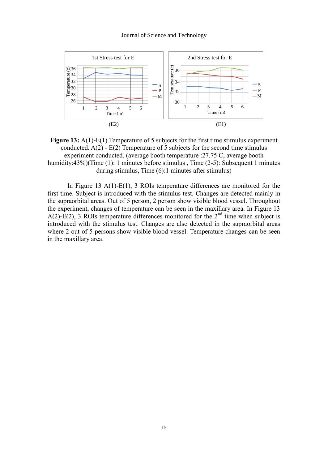

**Figure 13:** A(1)-E(1) Temperature of 5 subjects for the first time stimulus experiment conducted. A(2) - E(2) Temperature of 5 subjects for the second time stimulus experiment conducted. (average booth temperature :27.75 C, average booth humidity:43%)(Time (1): 1 minutes before stimulus, Time (2-5): Subsequent 1 minutes during stimulus, Time (6):1 minutes after stimulus)

In Figure 13 A(1)-E(1), 3 ROIs temperature differences are monitored for the first time. Subject is introduced with the stimulus test. Changes are detected mainly in the supraorbital areas. Out of 5 person, 2 person show visible blood vessel. Throughout the experiment, changes of temperature can be seen in the maxillary area. In Figure 13 A(2)-E(2), 3 ROIs temperature differences monitored for the  $2<sup>nd</sup>$  time when subject is introduced with the stimulus test. Changes are also detected in the supraorbital areas where 2 out of 5 persons show visible blood vessel. Temperature changes can be seen in the maxillary area.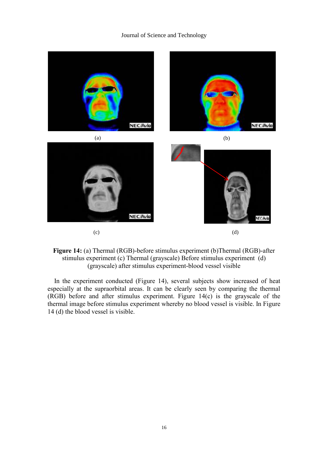

# **Figure 14:** (a) Thermal (RGB)-before stimulus experiment (b)Thermal (RGB)-after stimulus experiment (c) Thermal (grayscale) Before stimulus experiment (d) (grayscale) after stimulus experiment-blood vessel visible

In the experiment conducted (Figure 14), several subjects show increased of heat especially at the supraorbital areas. It can be clearly seen by comparing the thermal (RGB) before and after stimulus experiment. Figure 14(c) is the grayscale of the thermal image before stimulus experiment whereby no blood vessel is visible. In Figure 14 (d) the blood vessel is visible.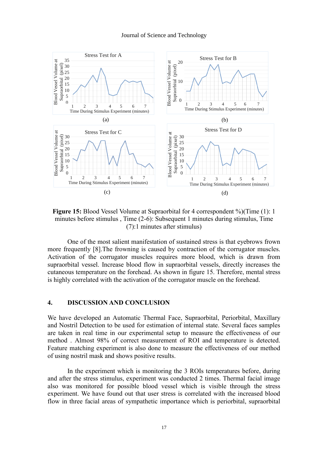

**Figure 15:** Blood Vessel Volume at Supraorbital for 4 correspondent %)(Time (1): 1 minutes before stimulus , Time (2-6): Subsequent 1 minutes during stimulus, Time (7):1 minutes after stimulus)

One of the most salient manifestation of sustained stress is that eyebrows frown more frequently [8].The frowning is caused by contraction of the corrugator muscles. Activation of the corrugator muscles requires more blood, which is drawn from supraorbital vessel. Increase blood flow in supraorbital vessels, directly increases the cutaneous temperature on the forehead. As shown in figure 15. Therefore, mental stress is highly correlated with the activation of the corrugator muscle on the forehead.

## **4. DISCUSSION AND CONCLUSION**

We have developed an Automatic Thermal Face, Supraorbital, Periorbital, Maxillary and Nostril Detection to be used for estimation of internal state. Several faces samples are taken in real time in our experimental setup to measure the effectiveness of our method . Almost 98% of correct measurement of ROI and temperature is detected. Feature matching experiment is also done to measure the effectiveness of our method of using nostril mask and shows positive results.

In the experiment which is monitoring the 3 ROIs temperatures before, during and after the stress stimulus, experiment was conducted 2 times. Thermal facial image also was monitored for possible blood vessel which is visible through the stress experiment. We have found out that user stress is correlated with the increased blood flow in three facial areas of sympathetic importance which is periorbital, supraorbital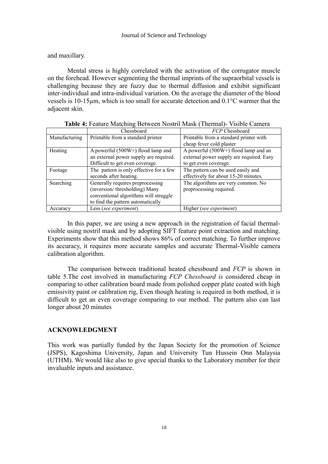and maxillary.

Mental stress is highly correlated with the activation of the corrugator muscle on the forehead. However segmenting the thermal imprints of the supraorbital vessels is challenging because they are fuzzy due to thermal diffusion and exhibit significant inter-individual and intra-individual variation. On the average the diameter of the blood vessels is 10-15µm, which is too small for accurate detection and 0.1°C warmer that the adjacent skin.

|               | Chessboard                              | <i>FCP</i> Chessboard                    |
|---------------|-----------------------------------------|------------------------------------------|
| Manufacturing | Printable from a standard printer       | Printable from a standard printer with   |
|               |                                         | cheap fever cold plaster                 |
| Heating       | A powerful $(500W+)$ flood lamp and     | A powerful (500W+) flood lamp and an     |
|               | an external power supply are required.  | external power supply are required. Easy |
|               | Difficult to get even coverage.         | to get even coverage.                    |
| Footage       | The pattern is only effective for a few | The pattern can be used easily and       |
|               | seconds after heating.                  | effectively for about 15-20 minutes.     |
| Searching     | Generally requires preprocessing        | The algorithms are very common. No       |
|               | (inversion/thresholding) Many           | preprocessing required.                  |
|               | conventional algorithms will struggle   |                                          |
|               | to find the pattern automatically       |                                          |
| Accuracy      | Less (see experiment)                   | Higher (see experiment)                  |

| Table 4: Feature Matching Between Nostril Mask (Thermal) - Visible Camera |  |
|---------------------------------------------------------------------------|--|
|---------------------------------------------------------------------------|--|

In this paper, we are using a new approach in the registration of facial thermalvisible using nostril mask and by adopting SIFT feature point extraction and matching. Experiments show that this method shows 86% of correct matching. To further improve its accuracy, it requires more accurate samples and accurate Thermal-Visible camera calibration algorithm.

The comparison between traditional heated chessboard and *FCP* is shown in table 5.The cost involved in manufacturing *FCP Chessboard is* considered cheap in comparing to other calibration board made from polished copper plate coated with high emissivity paint or calibration rig, Even though heating is required in both method, it is difficult to get an even coverage comparing to our method. The pattern also can last longer about 20 minutes

## **ACKNOWLEDGMENT**

This work was partially funded by the Japan Society for the promotion of Science (JSPS), Kagoshima University, Japan and University Tun Hussein Onn Malaysia (UTHM). We would like also to give special thanks to the Laboratory member for their invaluable inputs and assistance.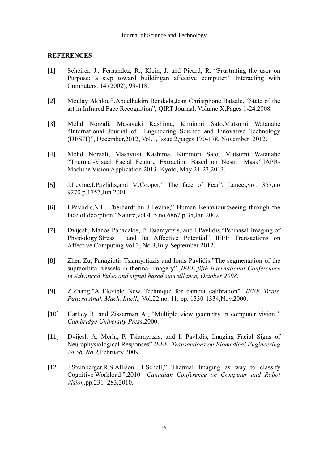# **REFERENCES**

- [1] Scheirer, J., Fernandez, R., Klein, J. and Picard, R. "Frustrating the user on Purpose: a step toward buildingan affective computer." Interacting with Computers, 14 (2002), 93-118.
- [2] Moulay Akhloufi,Abdelhakim Bendada,Jean Christphone Batsale, "State of the art in Infrared Face Recognition", QIRT Journal, Volume X,Pages 1-24.2008.
- [3] Mohd Norzali, Masayuki Kashima, Kiminori Sato,Mutsumi Watanabe "International Journal of Engineering Science and Innovative Technology (IJESIT)", December,2012, Vol.1, Issue 2,pages 170-178, November 2012.
- [4] Mohd Norzali, Masayuki Kashima, Kiminori Sato, Mutsumi Watanabe "Thermal-Visual Facial Feature Extraction Based on Nostril Mask",IAPR-Machine Vision Application 2013, Kyoto, May 21-23,2013.
- [5] J.Levine,I.Pavlidis,and M.Cooper," The face of Fear", Lancet,vol. 357,no 9270,p.1757,Jun 2001.
- [6] I.Pavlidis,N.L. Eberhardt an J.Levine," Human Behaviour:Seeing through the face of deception",Nature,vol.415,no 6867,p.35,Jan.2002.
- [7] Dvijesh, Manos Papadakis, P. Tsiamyrtzis, and I.Pavlidis,"Perinasal Imaging of Physiology Stress and Its Affective Potential" IEEE Transactions on Affective Computing Vol.3, No.3,July-September 2012.
- [8] Zhen Zu, Panagiotis Tsiamyrtiazis and Ionis Pavlidis,"The segmentation of the supraorbital vessels in thermal imagery" ,*IEEE fifth International Conferences in Advanced Video and signal based surveillance, October 2008.*
- [9] Z.Zhang,"A Flexible New Technique for camera calibration" ,*IEEE Trans. Pattern Anal. Mach. Intell.,* Vol.22,no. 11, pp. 1330-1334,Nov.2000.
- [10] Hartley R. and Zisserman A., "Multiple view geometry in computer vision*". Cambridge University Press*,2000.
- [11] Dvijesh A. Merla, P. Tsiamyrtzis, and I. Pavlidis, Imaging Facial Signs of Neurophysiological Responses" *IEEE Transactions on Biomedical Engineering Vo.56, No.2,*February 2009.
- [12] J.Stemberger,R.S.Allison ,T.Schell," Thermal Imaging as way to classify Cognitive Workload ",2010 *Canadian Conference on Computer and Robot Vision*,pp.231- 283,2010.